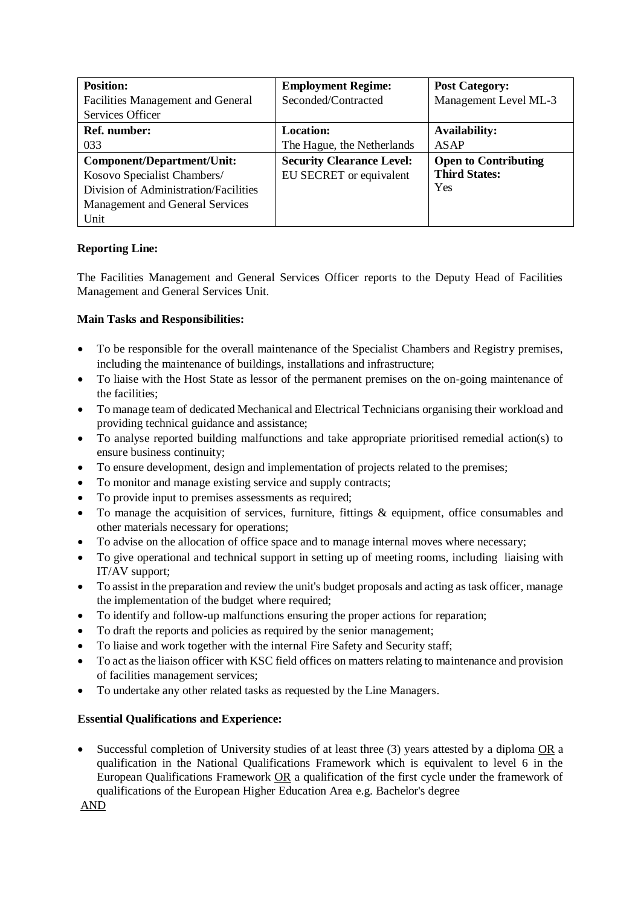| <b>Position:</b>                         | <b>Employment Regime:</b>        | <b>Post Category:</b>       |
|------------------------------------------|----------------------------------|-----------------------------|
| <b>Facilities Management and General</b> | Seconded/Contracted              | Management Level ML-3       |
| Services Officer                         |                                  |                             |
| <b>Ref. number:</b>                      | <b>Location:</b>                 | <b>Availability:</b>        |
| 033                                      | The Hague, the Netherlands       | <b>ASAP</b>                 |
| Component/Department/Unit:               | <b>Security Clearance Level:</b> | <b>Open to Contributing</b> |
| Kosovo Specialist Chambers/              | EU SECRET or equivalent          | <b>Third States:</b>        |
| Division of Administration/Facilities    |                                  | Yes                         |
| Management and General Services          |                                  |                             |
| Unit                                     |                                  |                             |

## **Reporting Line:**

The Facilities Management and General Services Officer reports to the Deputy Head of Facilities Management and General Services Unit.

## **Main Tasks and Responsibilities:**

- To be responsible for the overall maintenance of the Specialist Chambers and Registry premises, including the maintenance of buildings, installations and infrastructure;
- To liaise with the Host State as lessor of the permanent premises on the on-going maintenance of the facilities;
- To manage team of dedicated Mechanical and Electrical Technicians organising their workload and providing technical guidance and assistance;
- To analyse reported building malfunctions and take appropriate prioritised remedial action(s) to ensure business continuity;
- To ensure development, design and implementation of projects related to the premises;
- To monitor and manage existing service and supply contracts;
- To provide input to premises assessments as required;
- To manage the acquisition of services, furniture, fittings & equipment, office consumables and other materials necessary for operations;
- To advise on the allocation of office space and to manage internal moves where necessary;
- To give operational and technical support in setting up of meeting rooms, including liaising with IT/AV support;
- To assist in the preparation and review the unit's budget proposals and acting as task officer, manage the implementation of the budget where required;
- To identify and follow-up malfunctions ensuring the proper actions for reparation;
- To draft the reports and policies as required by the senior management;
- To liaise and work together with the internal Fire Safety and Security staff;
- To act as the liaison officer with KSC field offices on matters relating to maintenance and provision of facilities management services;
- To undertake any other related tasks as requested by the Line Managers.

## **Essential Qualifications and Experience:**

• Successful completion of University studies of at least three (3) years attested by a diploma OR a qualification in the National Qualifications Framework which is equivalent to level 6 in the European Qualifications Framework OR a qualification of the first cycle under the framework of qualifications of the European Higher Education Area e.g. Bachelor's degree

AND